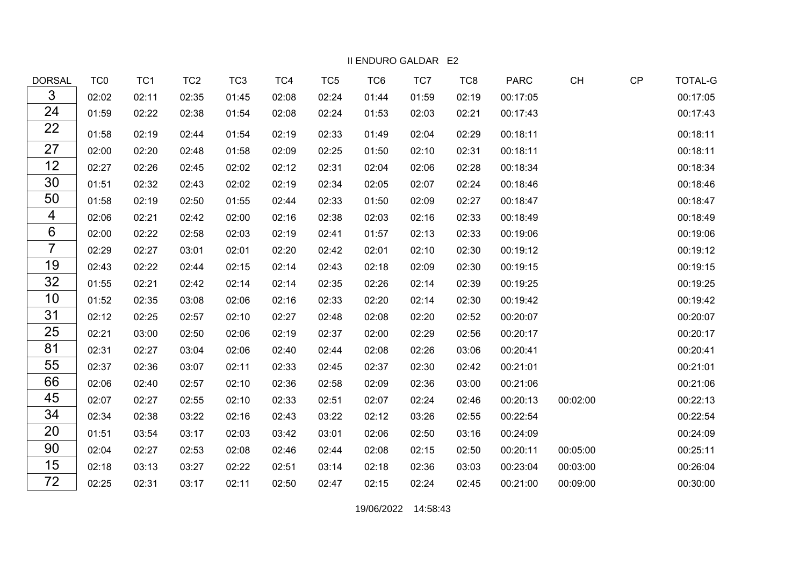II ENDURO GALDAR E2

| <b>DORSAL</b>  | TC <sub>0</sub> | TC <sub>1</sub> | TC <sub>2</sub> | TC <sub>3</sub> | TC4   | TC <sub>5</sub> | TC6   | TC7   | TC8   | <b>PARC</b> | <b>CH</b> | CP | <b>TOTAL-G</b> |
|----------------|-----------------|-----------------|-----------------|-----------------|-------|-----------------|-------|-------|-------|-------------|-----------|----|----------------|
| 3              | 02:02           | 02:11           | 02:35           | 01:45           | 02:08 | 02:24           | 01:44 | 01:59 | 02:19 | 00:17:05    |           |    | 00:17:05       |
| 24             | 01:59           | 02:22           | 02:38           | 01:54           | 02:08 | 02:24           | 01:53 | 02:03 | 02:21 | 00:17:43    |           |    | 00:17:43       |
| 22             | 01:58           | 02:19           | 02:44           | 01:54           | 02:19 | 02:33           | 01:49 | 02:04 | 02:29 | 00:18:11    |           |    | 00:18:11       |
| 27             | 02:00           | 02:20           | 02:48           | 01:58           | 02:09 | 02:25           | 01:50 | 02:10 | 02:31 | 00:18:11    |           |    | 00:18:11       |
| 12             | 02:27           | 02:26           | 02:45           | 02:02           | 02:12 | 02:31           | 02:04 | 02:06 | 02:28 | 00:18:34    |           |    | 00:18:34       |
| 30             | 01:51           | 02:32           | 02:43           | 02:02           | 02:19 | 02:34           | 02:05 | 02:07 | 02:24 | 00:18:46    |           |    | 00:18:46       |
| 50             | 01:58           | 02:19           | 02:50           | 01:55           | 02:44 | 02:33           | 01:50 | 02:09 | 02:27 | 00:18:47    |           |    | 00:18:47       |
| 4              | 02:06           | 02:21           | 02:42           | 02:00           | 02:16 | 02:38           | 02:03 | 02:16 | 02:33 | 00:18:49    |           |    | 00:18:49       |
| $6\phantom{1}$ | 02:00           | 02:22           | 02:58           | 02:03           | 02:19 | 02:41           | 01:57 | 02:13 | 02:33 | 00:19:06    |           |    | 00:19:06       |
| $\overline{7}$ | 02:29           | 02:27           | 03:01           | 02:01           | 02:20 | 02:42           | 02:01 | 02:10 | 02:30 | 00:19:12    |           |    | 00:19:12       |
| 19             | 02:43           | 02:22           | 02:44           | 02:15           | 02:14 | 02:43           | 02:18 | 02:09 | 02:30 | 00:19:15    |           |    | 00:19:15       |
| 32             | 01:55           | 02:21           | 02:42           | 02:14           | 02:14 | 02:35           | 02:26 | 02:14 | 02:39 | 00:19:25    |           |    | 00:19:25       |
| 10             | 01:52           | 02:35           | 03:08           | 02:06           | 02:16 | 02:33           | 02:20 | 02:14 | 02:30 | 00:19:42    |           |    | 00:19:42       |
| 31             | 02:12           | 02:25           | 02:57           | 02:10           | 02:27 | 02:48           | 02:08 | 02:20 | 02:52 | 00:20:07    |           |    | 00:20:07       |
| 25             | 02:21           | 03:00           | 02:50           | 02:06           | 02:19 | 02:37           | 02:00 | 02:29 | 02:56 | 00:20:17    |           |    | 00:20:17       |
| 81             | 02:31           | 02:27           | 03:04           | 02:06           | 02:40 | 02:44           | 02:08 | 02:26 | 03:06 | 00:20:41    |           |    | 00:20:41       |
| 55             | 02:37           | 02:36           | 03:07           | 02:11           | 02:33 | 02:45           | 02:37 | 02:30 | 02:42 | 00:21:01    |           |    | 00:21:01       |
| 66             | 02:06           | 02:40           | 02:57           | 02:10           | 02:36 | 02:58           | 02:09 | 02:36 | 03:00 | 00:21:06    |           |    | 00:21:06       |
| 45             | 02:07           | 02:27           | 02:55           | 02:10           | 02:33 | 02:51           | 02:07 | 02:24 | 02:46 | 00:20:13    | 00:02:00  |    | 00:22:13       |
| 34             | 02:34           | 02:38           | 03:22           | 02:16           | 02:43 | 03:22           | 02:12 | 03:26 | 02:55 | 00:22:54    |           |    | 00:22:54       |
| 20             | 01:51           | 03:54           | 03:17           | 02:03           | 03:42 | 03:01           | 02:06 | 02:50 | 03:16 | 00:24:09    |           |    | 00:24:09       |
| 90             | 02:04           | 02:27           | 02:53           | 02:08           | 02:46 | 02:44           | 02:08 | 02:15 | 02:50 | 00:20:11    | 00:05:00  |    | 00:25:11       |
| 15             | 02:18           | 03:13           | 03:27           | 02:22           | 02:51 | 03:14           | 02:18 | 02:36 | 03:03 | 00:23:04    | 00:03:00  |    | 00:26:04       |
| 72             | 02:25           | 02:31           | 03:17           | 02:11           | 02:50 | 02:47           | 02:15 | 02:24 | 02:45 | 00:21:00    | 00:09:00  |    | 00:30:00       |

19/06/2022 14:58:43